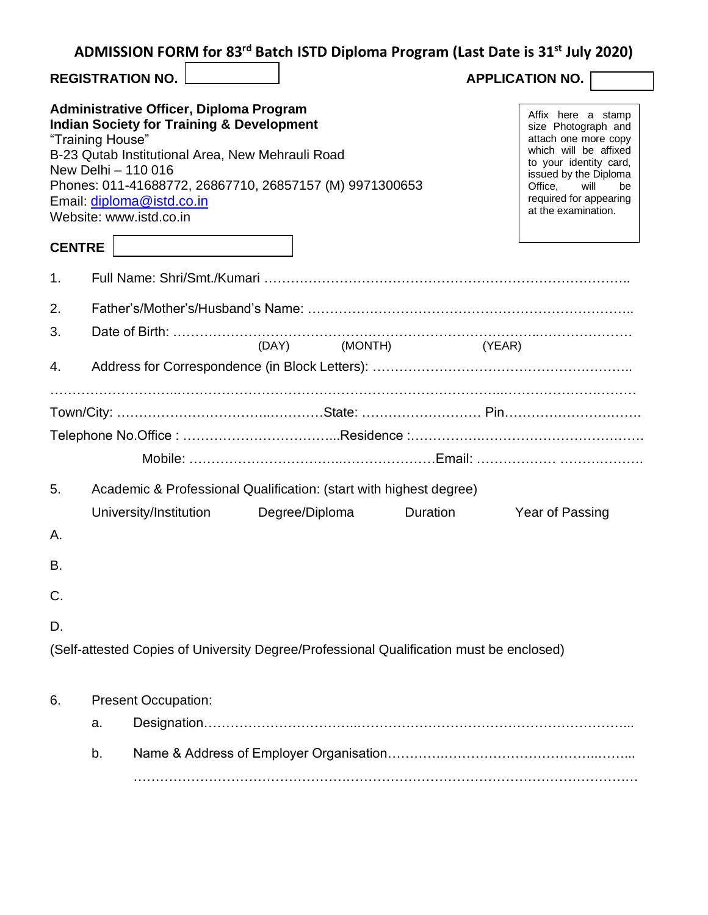| ADMISSION FORM for 83 <sup>rd</sup> Batch ISTD Diploma Program (Last Date is 31 <sup>st</sup> July 2020) |  |  |  |  |
|----------------------------------------------------------------------------------------------------------|--|--|--|--|
|----------------------------------------------------------------------------------------------------------|--|--|--|--|

**REGISTRATION NO. APPLICATION NO.**

| <b>Administrative Officer, Diploma Program</b><br><b>Indian Society for Training &amp; Development</b><br>"Training House"<br>B-23 Qutab Institutional Area, New Mehrauli Road<br>New Delhi - 110 016<br>Phones: 011-41688772, 26867710, 26857157 (M) 9971300653<br>Email: diploma@istd.co.in<br>Website: www.istd.co.in |                                                                                                                            |  |               | Affix here a stamp<br>size Photograph and<br>attach one more copy<br>which will be affixed<br>to your identity card,<br>issued by the Diploma<br>Office.<br>will<br>be<br>required for appearing<br>at the examination. |  |
|--------------------------------------------------------------------------------------------------------------------------------------------------------------------------------------------------------------------------------------------------------------------------------------------------------------------------|----------------------------------------------------------------------------------------------------------------------------|--|---------------|-------------------------------------------------------------------------------------------------------------------------------------------------------------------------------------------------------------------------|--|
| <b>CENTRE</b>                                                                                                                                                                                                                                                                                                            |                                                                                                                            |  |               |                                                                                                                                                                                                                         |  |
| 1 <sub>1</sub>                                                                                                                                                                                                                                                                                                           |                                                                                                                            |  |               |                                                                                                                                                                                                                         |  |
| 2.                                                                                                                                                                                                                                                                                                                       |                                                                                                                            |  |               |                                                                                                                                                                                                                         |  |
| 3.                                                                                                                                                                                                                                                                                                                       |                                                                                                                            |  | (DAY) (MONTH) | (YEAR)                                                                                                                                                                                                                  |  |
| 4.                                                                                                                                                                                                                                                                                                                       |                                                                                                                            |  |               |                                                                                                                                                                                                                         |  |
|                                                                                                                                                                                                                                                                                                                          |                                                                                                                            |  |               |                                                                                                                                                                                                                         |  |
|                                                                                                                                                                                                                                                                                                                          |                                                                                                                            |  |               |                                                                                                                                                                                                                         |  |
|                                                                                                                                                                                                                                                                                                                          |                                                                                                                            |  |               |                                                                                                                                                                                                                         |  |
|                                                                                                                                                                                                                                                                                                                          |                                                                                                                            |  |               |                                                                                                                                                                                                                         |  |
|                                                                                                                                                                                                                                                                                                                          | $\Lambda$ , and a set of $\Lambda$ . And $\Lambda$ and $\Lambda$ are PP is a P individual definition of the same $\Lambda$ |  |               |                                                                                                                                                                                                                         |  |

5. Academic & Professional Qualification: (start with highest degree)

|    | University/Institution | Degree/Diploma | Duration | Year of Passing |
|----|------------------------|----------------|----------|-----------------|
| А. |                        |                |          |                 |
| В. |                        |                |          |                 |
| C. |                        |                |          |                 |
| D. |                        |                |          |                 |

(Self-attested Copies of University Degree/Professional Qualification must be enclosed)

## 6. Present Occupation:

| $b_{1}$ |  |
|---------|--|
|         |  |